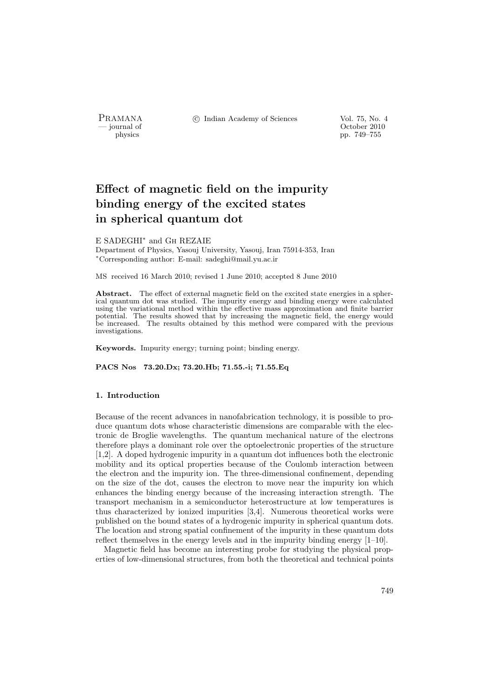PRAMANA <sup>C</sup> Indian Academy of Sciences Vol. 75, No. 4<br>
— journal of Cortober 2010

position of the contract of the contract of the contract of the contract of the contract of the contract of the contract of the contract of the contract of the contract of the contract of the contract of the contract of th physics pp. 749–755

# Effect of magnetic field on the impurity binding energy of the excited states in spherical quantum dot

# E SADEGHI<sup>∗</sup> and Gh REZAIE

Department of Physics, Yasouj University, Yasouj, Iran 75914-353, Iran <sup>∗</sup>Corresponding author: E-mail: sadeghi@mail.yu.ac.ir

MS received 16 March 2010; revised 1 June 2010; accepted 8 June 2010

Abstract. The effect of external magnetic field on the excited state energies in a spherical quantum dot was studied. The impurity energy and binding energy were calculated using the variational method within the effective mass approximation and finite barrier potential. The results showed that by increasing the magnetic field, the energy would be increased. The results obtained by this method were compared with the previous investigations.

Keywords. Impurity energy; turning point; binding energy.

PACS Nos 73.20.Dx; 73.20.Hb; 71.55.-i; 71.55.Eq

## 1. Introduction

Because of the recent advances in nanofabrication technology, it is possible to produce quantum dots whose characteristic dimensions are comparable with the electronic de Broglie wavelengths. The quantum mechanical nature of the electrons therefore plays a dominant role over the optoelectronic properties of the structure [1,2]. A doped hydrogenic impurity in a quantum dot influences both the electronic mobility and its optical properties because of the Coulomb interaction between the electron and the impurity ion. The three-dimensional confinement, depending on the size of the dot, causes the electron to move near the impurity ion which enhances the binding energy because of the increasing interaction strength. The transport mechanism in a semiconductor heterostructure at low temperatures is thus characterized by ionized impurities [3,4]. Numerous theoretical works were published on the bound states of a hydrogenic impurity in spherical quantum dots. The location and strong spatial confinement of the impurity in these quantum dots reflect themselves in the energy levels and in the impurity binding energy [1–10].

Magnetic field has become an interesting probe for studying the physical properties of low-dimensional structures, from both the theoretical and technical points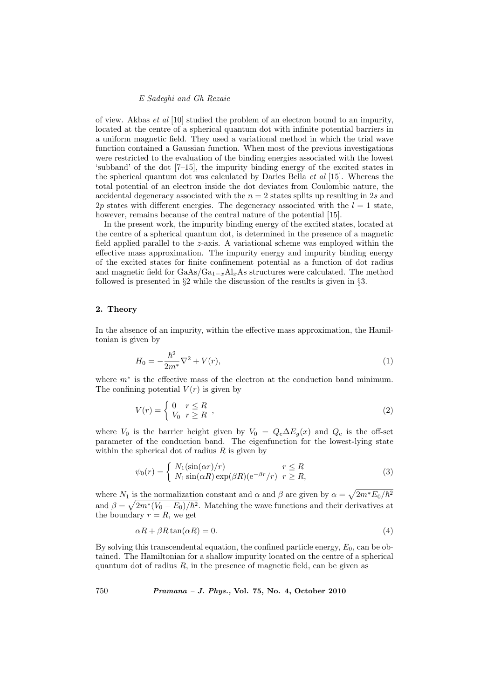# E Sadeghi and Gh Rezaie

of view. Akbas *et al*  $[10]$  studied the problem of an electron bound to an impurity, located at the centre of a spherical quantum dot with infinite potential barriers in a uniform magnetic field. They used a variational method in which the trial wave function contained a Gaussian function. When most of the previous investigations were restricted to the evaluation of the binding energies associated with the lowest 'subband' of the dot [7–15], the impurity binding energy of the excited states in the spherical quantum dot was calculated by Daries Bella et al [15]. Whereas the total potential of an electron inside the dot deviates from Coulombic nature, the accidental degeneracy associated with the  $n = 2$  states splits up resulting in 2s and 2p states with different energies. The degeneracy associated with the  $l = 1$  state, however, remains because of the central nature of the potential [15].

In the present work, the impurity binding energy of the excited states, located at the centre of a spherical quantum dot, is determined in the presence of a magnetic field applied parallel to the z-axis. A variational scheme was employed within the effective mass approximation. The impurity energy and impurity binding energy of the excited states for finite confinement potential as a function of dot radius and magnetic field for  $\text{GaAs}/\text{Ga}_{1-x}\text{Al}_x\text{As}$  structures were calculated. The method followed is presented in §2 while the discussion of the results is given in §3.

# 2. Theory

In the absence of an impurity, within the effective mass approximation, the Hamiltonian is given by

$$
H_0 = -\frac{\hbar^2}{2m^*} \nabla^2 + V(r),\tag{1}
$$

where m<sup>∗</sup> is the effective mass of the electron at the conduction band minimum. The confining potential  $V(r)$  is given by

$$
V(r) = \begin{cases} 0 & r \le R \\ V_0 & r \ge R \end{cases},
$$
\n(2)

where  $V_0$  is the barrier height given by  $V_0 = Q_c \Delta E_q(x)$  and  $Q_c$  is the off-set parameter of the conduction band. The eigenfunction for the lowest-lying state within the spherical dot of radius  $R$  is given by

$$
\psi_0(r) = \begin{cases} N_1(\sin(\alpha r)/r) & r \le R \\ N_1 \sin(\alpha R) \exp(\beta R) (\mathrm{e}^{-\beta r}/r) & r \ge R, \end{cases}
$$
\n(3)

where  $N_1$  is the normalization constant and  $\alpha$  and  $\beta$  are given by  $\alpha =$ p i is the normalization constant and  $\alpha$  and  $\beta$  are given by  $\alpha = \sqrt{2m^*E_0/\hbar^2}$ and  $\beta = \sqrt{2m^*(V_0 - E_0)/\hbar^2}$ . Matching the wave functions and their derivatives at the boundary  $r = R$ , we get

$$
\alpha R + \beta R \tan(\alpha R) = 0. \tag{4}
$$

By solving this transcendental equation, the confined particle energy,  $E_0$ , can be obtained. The Hamiltonian for a shallow impurity located on the centre of a spherical quantum dot of radius  $R$ , in the presence of magnetic field, can be given as

750 Pramana – J. Phys., Vol. 75, No. 4, October 2010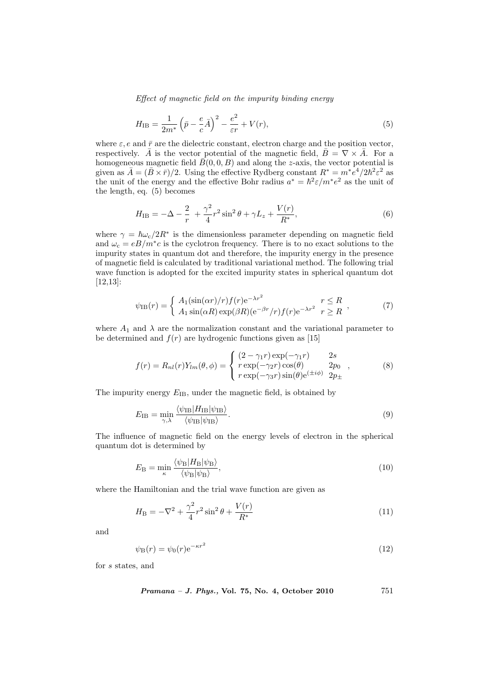Effect of magnetic field on the impurity binding energy

$$
H_{\rm IB} = \frac{1}{2m^*} \left( \bar{p} - \frac{e}{c} \bar{A} \right)^2 - \frac{e^2}{\varepsilon r} + V(r),\tag{5}
$$

where  $\varepsilon$ , e and  $\bar{r}$  are the dielectric constant, electron charge and the position vector, respectively.  $\bar{A}$  is the vector potential of the magnetic field,  $\bar{B} = \nabla \times \bar{A}$ . For a homogeneous magnetic field  $\bar{B}(0, 0, B)$  and along the z-axis, the vector potential is given as  $\bar{A} = (\bar{B} \times \bar{r})/2$ . Using the effective Rydberg constant  $R^* = m^* e^4/2\hbar^2 \varepsilon^2$  as the unit of the energy and the effective Bohr radius  $a^* = \hbar^2 \varepsilon / m^* e^2$  as the unit of the length, eq. (5) becomes

$$
H_{\rm IB} = -\Delta - \frac{2}{r} + \frac{\gamma^2}{4} r^2 \sin^2 \theta + \gamma L_z + \frac{V(r)}{R^*},\tag{6}
$$

where  $\gamma = \hbar \omega_c / 2R^*$  is the dimensionless parameter depending on magnetic field and  $\omega_c = eB/m^*c$  is the cyclotron frequency. There is to no exact solutions to the impurity states in quantum dot and therefore, the impurity energy in the presence of magnetic field is calculated by traditional variational method. The following trial wave function is adopted for the excited impurity states in spherical quantum dot [12,13]:

$$
\psi_{\text{IB}}(r) = \begin{cases} A_1(\sin(\alpha r)/r) f(r) e^{-\lambda r^2} & r \le R \\ A_1 \sin(\alpha R) \exp(\beta R) (e^{-\beta r}/r) f(r) e^{-\lambda r^2} & r \ge R \end{cases},
$$
(7)

where  $A_1$  and  $\lambda$  are the normalization constant and the variational parameter to be determined and  $f(r)$  are hydrogenic functions given as [15]

$$
f(r) = R_{nl}(r)Y_{lm}(\theta, \phi) = \begin{cases} (2 - \gamma_1 r) \exp(-\gamma_1 r) & 2s \\ r \exp(-\gamma_2 r) \cos(\theta) & 2p_0 \\ r \exp(-\gamma_3 r) \sin(\theta) e^{(\pm i\phi)} & 2p_{\pm} \end{cases}
$$
(8)

The impurity energy  $E_{\text{IB}}$ , under the magnetic field, is obtained by

$$
E_{\rm IB} = \min_{\gamma,\lambda} \frac{\langle \psi_{\rm IB} | H_{\rm IB} | \psi_{\rm IB} \rangle}{\langle \psi_{\rm IB} | \psi_{\rm IB} \rangle}.
$$
 (9)

The influence of magnetic field on the energy levels of electron in the spherical quantum dot is determined by

$$
E_{\rm B} = \min_{\kappa} \frac{\langle \psi_{\rm B} | H_{\rm B} | \psi_{\rm B} \rangle}{\langle \psi_{\rm B} | \psi_{\rm B} \rangle},\tag{10}
$$

where the Hamiltonian and the trial wave function are given as

$$
H_{\rm B} = -\nabla^2 + \frac{\gamma^2}{4}r^2\sin^2\theta + \frac{V(r)}{R^*}
$$
 (11)

and

$$
\psi_{\mathcal{B}}(r) = \psi_0(r) e^{-\kappa r^2} \tag{12}
$$

for s states, and

Pramana – J. Phys., Vol. 75, No. 4, October 2010 751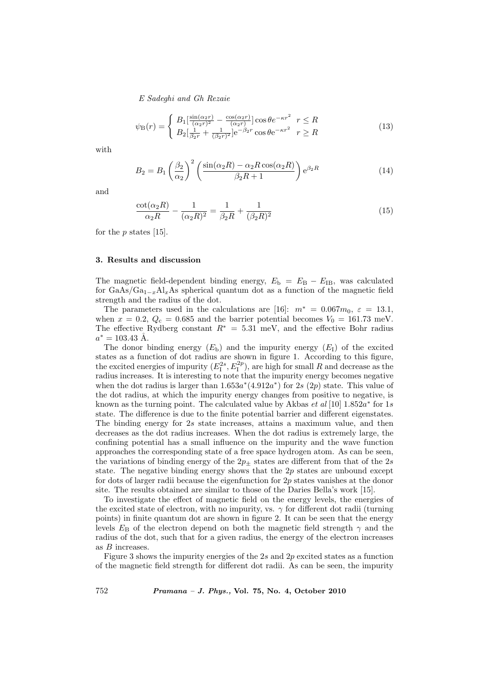E Sadeghi and Gh Rezaie

$$
\psi_{\rm B}(r) = \begin{cases} B_1 \left[ \frac{\sin(\alpha_2 r)}{(\alpha_2 r)^2} - \frac{\cos(\alpha_2 r)}{(\alpha_2 r)} \right] \cos \theta e^{-\kappa r^2} & r \le R \\ B_2 \left[ \frac{1}{\beta_2 r} + \frac{1}{(\beta_2 r)^2} \right] e^{-\beta_2 r} \cos \theta e^{-\kappa r^2} & r \ge R \end{cases}
$$
(13)

with

$$
B_2 = B_1 \left(\frac{\beta_2}{\alpha_2}\right)^2 \left(\frac{\sin(\alpha_2 R) - \alpha_2 R \cos(\alpha_2 R)}{\beta_2 R + 1}\right) e^{\beta_2 R} \tag{14}
$$

and

$$
\frac{\cot(\alpha_2 R)}{\alpha_2 R} - \frac{1}{(\alpha_2 R)^2} = \frac{1}{\beta_2 R} + \frac{1}{(\beta_2 R)^2}
$$
(15)

for the  $p$  states [15].

#### 3. Results and discussion

The magnetic field-dependent binding energy,  $E_{\rm b} = E_{\rm B} - E_{\rm IB}$ , was calculated for GaAs/Ga<sub>1-x</sub>Al<sub>x</sub>As spherical quantum dot as a function of the magnetic field strength and the radius of the dot.

The parameters used in the calculations are [16]:  $m^* = 0.067m_0$ ,  $\varepsilon = 13.1$ , when  $x = 0.2$ ,  $Q_c = 0.685$  and the barrier potential becomes  $V_0 = 161.73$  meV. The effective Rydberg constant  $R^* = 5.31$  meV, and the effective Bohr radius  $a^* = 103.43 \text{ Å}.$ 

The donor binding energy  $(E_b)$  and the impurity energy  $(E_I)$  of the excited states as a function of dot radius are shown in figure 1. According to this figure, the excited energies of impurity  $(E_1^{2s}, E_1^{2p})$ , are high for small R and decrease as the radius increases. It is interesting to note that the impurity energy becomes negative when the dot radius is larger than  $1.653a^*(4.912a^*)$  for 2s  $(2p)$  state. This value of the dot radius, at which the impurity energy changes from positive to negative, is known as the turning point. The calculated value by Akbas et al [10]  $1.852a^*$  for 1s state. The difference is due to the finite potential barrier and different eigenstates. The binding energy for 2s state increases, attains a maximum value, and then decreases as the dot radius increases. When the dot radius is extremely large, the confining potential has a small influence on the impurity and the wave function approaches the corresponding state of a free space hydrogen atom. As can be seen, the variations of binding energy of the  $2p_\pm$  states are different from that of the  $2s$ state. The negative binding energy shows that the  $2p$  states are unbound except for dots of larger radii because the eigenfunction for  $2p$  states vanishes at the donor site. The results obtained are similar to those of the Daries Bella's work [15].

To investigate the effect of magnetic field on the energy levels, the energies of the excited state of electron, with no impurity, vs.  $\gamma$  for different dot radii (turning points) in finite quantum dot are shown in figure 2. It can be seen that the energy levels  $E_B$  of the electron depend on both the magnetic field strength  $\gamma$  and the radius of the dot, such that for a given radius, the energy of the electron increases as B increases.

Figure 3 shows the impurity energies of the  $2s$  and  $2p$  excited states as a function of the magnetic field strength for different dot radii. As can be seen, the impurity

752 Pramana – J. Phys., Vol. 75, No. 4, October 2010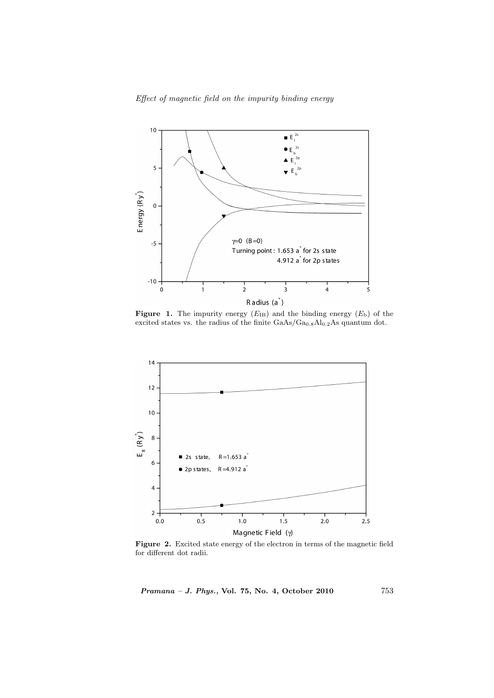Effect of magnetic field on the impurity binding energy



**Figure 1.** The impurity energy  $(E_{IB})$  and the binding energy  $(E_b)$  of the excited states vs. the radius of the finite  $GaAs/Ga_{0.8}Al_{0.2}As$  quantum dot.



Figure 2. Excited state energy of the electron in terms of the magnetic field for different dot radii.

Pramana – J. Phys., Vol. 75, No. 4, October 2010 753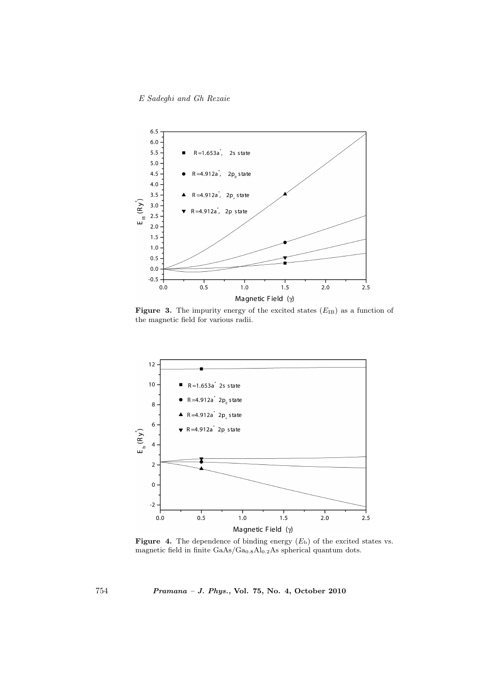E Sadeghi and Gh Rezaie



Figure 3. The impurity energy of the excited states  $(E_{IB})$  as a function of the magnetic field for various radii.



**Figure 4.** The dependence of binding energy  $(E_b)$  of the excited states vs. magnetic field in finite  $GaAs/Ga<sub>0.8</sub>Al<sub>0.2</sub>As spherical quantum dots.$ 

754 Pramana – J. Phys., Vol. 75, No. 4, October 2010